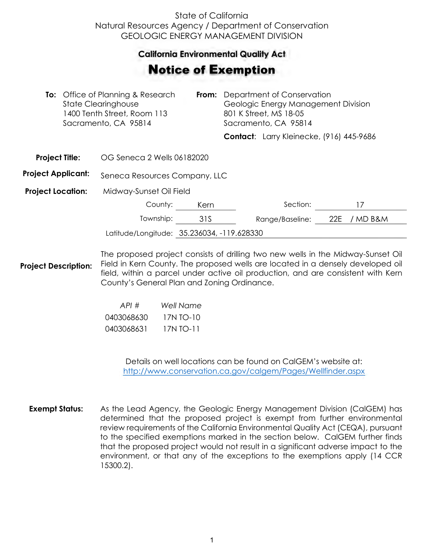## State of California Natural Resources Agency / Department of Conservation GEOLOGIC ENERGY MANAGEMENT DIVISION

## **California Environmental Quality Act**  California Environmental Quality Act

## Notice of Exemption **otice of Exemption**

|                           | <b>To:</b> Office of Planning & Research<br>State Clearinghouse<br>1400 Tenth Street, Room 113<br>Sacramento, CA 95814 |      | <b>From:</b> Department of Conservation<br>Geologic Energy Management Division<br>801 K Street, MS 18-05<br>Sacramento, CA 95814 |                 |                                          |
|---------------------------|------------------------------------------------------------------------------------------------------------------------|------|----------------------------------------------------------------------------------------------------------------------------------|-----------------|------------------------------------------|
|                           |                                                                                                                        |      |                                                                                                                                  |                 | Contact: Larry Kleinecke, (916) 445-9686 |
| <b>Project Title:</b>     | OG Seneca 2 Wells 06182020                                                                                             |      |                                                                                                                                  |                 |                                          |
| <b>Project Applicant:</b> | Seneca Resources Company, LLC                                                                                          |      |                                                                                                                                  |                 |                                          |
| <b>Project Location:</b>  | Midway-Sunset Oil Field                                                                                                |      |                                                                                                                                  |                 |                                          |
|                           | County:                                                                                                                | Kern |                                                                                                                                  | Section:        | 17                                       |
|                           | Township:                                                                                                              | 31S  |                                                                                                                                  | Range/Baseline: | 22E<br>/ MD B&M                          |
|                           | Latitude/Longitude: 35.236034, -119.628330                                                                             |      |                                                                                                                                  |                 |                                          |

**Project Description:** The proposed project consists of drilling two new wells in the Midway-Sunset Oil Field in Kern County. The proposed wells are located in a densely developed oil field, within a parcel under active oil production, and are consistent with Kern County's General Plan and Zoning Ordinance.

| API#       | Well Name   |
|------------|-------------|
| 0403068630 | 17N TO-10   |
| 0403068631 | $17N$ TO-11 |

Details on well locations can be found on CalGEM's website at: <http://www.conservation.ca.gov/calgem/Pages/Wellfinder.aspx>

**Exempt Status:** As the Lead Agency, the Geologic Energy Management Division (CalGEM) has determined that the proposed project is exempt from further environmental review requirements of the California Environmental Quality Act (CEQA), pursuant to the specified exemptions marked in the section below. CalGEM further finds that the proposed project would not result in a significant adverse impact to the environment, or that any of the exceptions to the exemptions apply (14 CCR 15300.2).